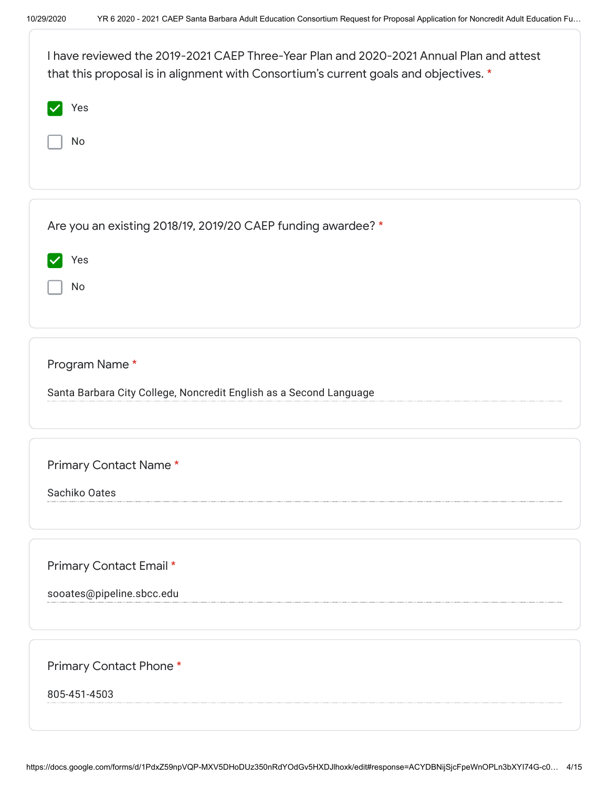| I have reviewed the 2019-2021 CAEP Three-Year Plan and 2020-2021 Annual Plan and attest<br>that this proposal is in alignment with Consortium's current goals and objectives. * |
|---------------------------------------------------------------------------------------------------------------------------------------------------------------------------------|
| Yes                                                                                                                                                                             |
| No                                                                                                                                                                              |
|                                                                                                                                                                                 |
| Are you an existing 2018/19, 2019/20 CAEP funding awardee? *                                                                                                                    |
| Yes                                                                                                                                                                             |
| No                                                                                                                                                                              |
|                                                                                                                                                                                 |
| Program Name*                                                                                                                                                                   |
| Santa Barbara City College, Noncredit English as a Second Language                                                                                                              |
|                                                                                                                                                                                 |
| Primary Contact Name*                                                                                                                                                           |
| Sachiko Oates                                                                                                                                                                   |
|                                                                                                                                                                                 |
| Primary Contact Email *                                                                                                                                                         |
| sooates@pipeline.sbcc.edu                                                                                                                                                       |
|                                                                                                                                                                                 |
|                                                                                                                                                                                 |
| Primary Contact Phone*                                                                                                                                                          |
| 805-451-4503                                                                                                                                                                    |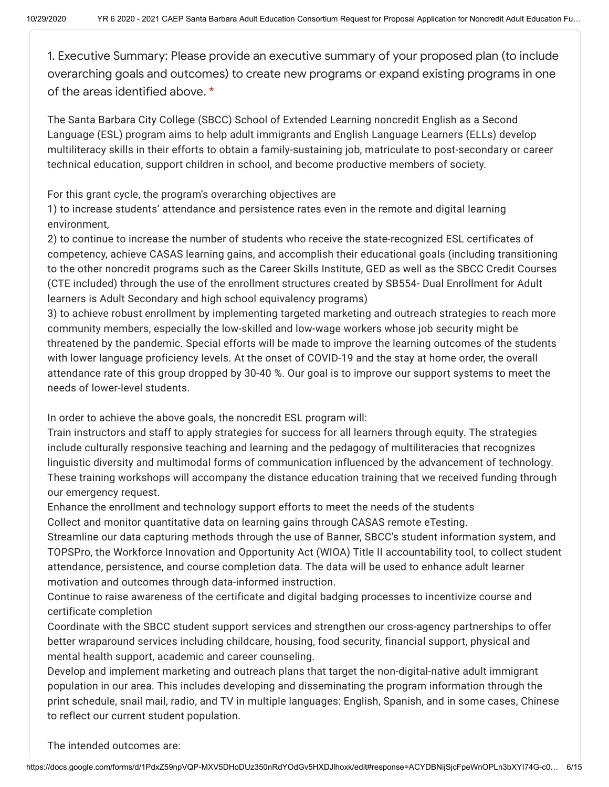1. Executive Summary: Please provide an executive summary of your proposed plan (to include overarching goals and outcomes) to create new programs or expand existing programs in one of the areas identified above. \*

The Santa Barbara City College (SBCC) School of Extended Learning noncredit English as a Second Language (ESL) program aims to help adult immigrants and English Language Learners (ELLs) develop multiliteracy skills in their efforts to obtain a family-sustaining job, matriculate to post-secondary or career technical education, support children in school, and become productive members of society.

For this grant cycle, the program's overarching objectives are

1) to increase students' attendance and persistence rates even in the remote and digital learning environment,

2) to continue to increase the number of students who receive the state-recognized ESL certificates of competency, achieve CASAS learning gains, and accomplish their educational goals (including transitioning to the other noncredit programs such as the Career Skills Institute, GED as well as the SBCC Credit Courses (CTE included) through the use of the enrollment structures created by SB554- Dual Enrollment for Adult learners is Adult Secondary and high school equivalency programs)

3) to achieve robust enrollment by implementing targeted marketing and outreach strategies to reach more community members, especially the low-skilled and low-wage workers whose job security might be threatened by the pandemic. Special efforts will be made to improve the learning outcomes of the students with lower language proficiency levels. At the onset of COVID-19 and the stay at home order, the overall attendance rate of this group dropped by 30-40 %. Our goal is to improve our support systems to meet the needs of lower-level students.

In order to achieve the above goals, the noncredit ESL program will:

Train instructors and staff to apply strategies for success for all learners through equity. The strategies include culturally responsive teaching and learning and the pedagogy of multiliteracies that recognizes linguistic diversity and multimodal forms of communication influenced by the advancement of technology. These training workshops will accompany the distance education training that we received funding through our emergency request.

Enhance the enrollment and technology support efforts to meet the needs of the students Collect and monitor quantitative data on learning gains through CASAS remote eTesting.

Streamline our data capturing methods through the use of Banner, SBCC's student information system, and TOPSPro, the Workforce Innovation and Opportunity Act (WIOA) Title II accountability tool, to collect student attendance, persistence, and course completion data. The data will be used to enhance adult learner motivation and outcomes through data-informed instruction.

Continue to raise awareness of the certificate and digital badging processes to incentivize course and certificate completion

Coordinate with the SBCC student support services and strengthen our cross-agency partnerships to offer better wraparound services including childcare, housing, food security, financial support, physical and mental health support, academic and career counseling.

Develop and implement marketing and outreach plans that target the non-digital-native adult immigrant population in our area. This includes developing and disseminating the program information through the print schedule, snail mail, radio, and TV in multiple languages: English, Spanish, and in some cases, Chinese to reflect our current student population.

The intended outcomes are: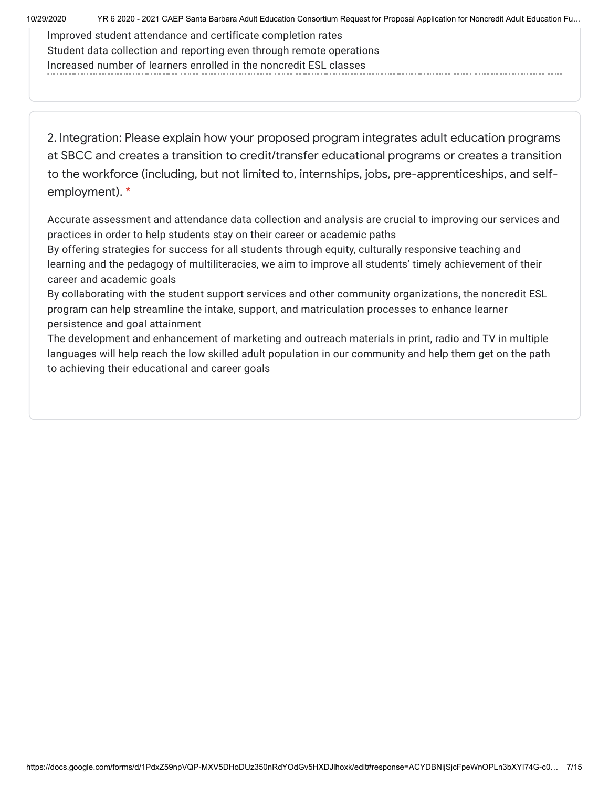10/29/2020 YR 6 2020 - 2021 CAEP Santa Barbara Adult Education Consortium Request for Proposal Application for Noncredit Adult Education Fu…

Improved student attendance and certificate completion rates Student data collection and reporting even through remote operations Increased number of learners enrolled in the noncredit ESL classes

2. Integration: Please explain how your proposed program integrates adult education programs at SBCC and creates a transition to credit/transfer educational programs or creates a transition to the workforce (including, but not limited to, internships, jobs, pre-apprenticeships, and selfemployment). \*

Accurate assessment and attendance data collection and analysis are crucial to improving our services and practices in order to help students stay on their career or academic paths

By offering strategies for success for all students through equity, culturally responsive teaching and learning and the pedagogy of multiliteracies, we aim to improve all students' timely achievement of their career and academic goals

By collaborating with the student support services and other community organizations, the noncredit ESL program can help streamline the intake, support, and matriculation processes to enhance learner persistence and goal attainment

The development and enhancement of marketing and outreach materials in print, radio and TV in multiple languages will help reach the low skilled adult population in our community and help them get on the path to achieving their educational and career goals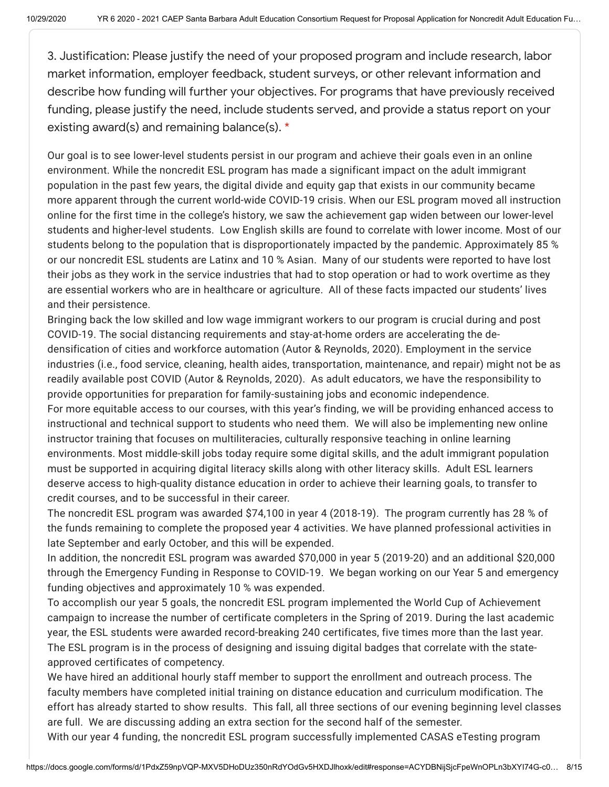3. Justification: Please justify the need of your proposed program and include research, labor market information, employer feedback, student surveys, or other relevant information and describe how funding will further your objectives. For programs that have previously received funding, please justify the need, include students served, and provide a status report on your existing award(s) and remaining balance(s). \*

Our goal is to see lower-level students persist in our program and achieve their goals even in an online environment. While the noncredit ESL program has made a significant impact on the adult immigrant population in the past few years, the digital divide and equity gap that exists in our community became more apparent through the current world-wide COVID-19 crisis. When our ESL program moved all instruction online for the first time in the college's history, we saw the achievement gap widen between our lower-level students and higher-level students. Low English skills are found to correlate with lower income. Most of our students belong to the population that is disproportionately impacted by the pandemic. Approximately 85 % or our noncredit ESL students are Latinx and 10 % Asian. Many of our students were reported to have lost their jobs as they work in the service industries that had to stop operation or had to work overtime as they are essential workers who are in healthcare or agriculture. All of these facts impacted our students' lives and their persistence.

Bringing back the low skilled and low wage immigrant workers to our program is crucial during and post COVID-19. The social distancing requirements and stay-at-home orders are accelerating the dedensification of cities and workforce automation (Autor & Reynolds, 2020). Employment in the service industries (i.e., food service, cleaning, health aides, transportation, maintenance, and repair) might not be as readily available post COVID (Autor & Reynolds, 2020). As adult educators, we have the responsibility to provide opportunities for preparation for family-sustaining jobs and economic independence.

For more equitable access to our courses, with this year's finding, we will be providing enhanced access to instructional and technical support to students who need them. We will also be implementing new online instructor training that focuses on multiliteracies, culturally responsive teaching in online learning environments. Most middle-skill jobs today require some digital skills, and the adult immigrant population must be supported in acquiring digital literacy skills along with other literacy skills. Adult ESL learners deserve access to high-quality distance education in order to achieve their learning goals, to transfer to credit courses, and to be successful in their career.

The noncredit ESL program was awarded \$74,100 in year 4 (2018-19). The program currently has 28 % of the funds remaining to complete the proposed year 4 activities. We have planned professional activities in late September and early October, and this will be expended.

In addition, the noncredit ESL program was awarded \$70,000 in year 5 (2019-20) and an additional \$20,000 through the Emergency Funding in Response to COVID-19. We began working on our Year 5 and emergency funding objectives and approximately 10 % was expended.

To accomplish our year 5 goals, the noncredit ESL program implemented the World Cup of Achievement campaign to increase the number of certificate completers in the Spring of 2019. During the last academic year, the ESL students were awarded record-breaking 240 certificates, five times more than the last year. The ESL program is in the process of designing and issuing digital badges that correlate with the stateapproved certificates of competency.

We have hired an additional hourly staff member to support the enrollment and outreach process. The faculty members have completed initial training on distance education and curriculum modification. The effort has already started to show results. This fall, all three sections of our evening beginning level classes are full. We are discussing adding an extra section for the second half of the semester.

With our year 4 funding, the noncredit ESL program successfully implemented CASAS eTesting program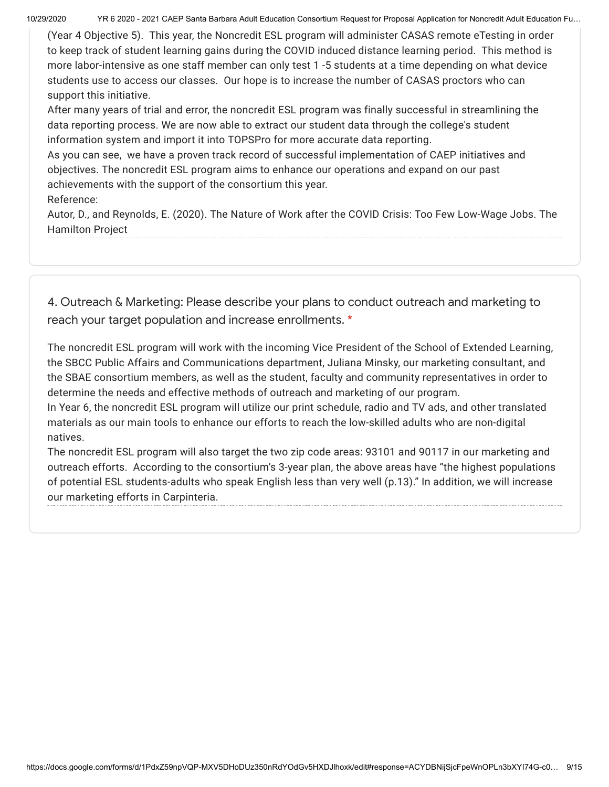10/29/2020 YR 6 2020 - 2021 CAEP Santa Barbara Adult Education Consortium Request for Proposal Application for Noncredit Adult Education Fu…

(Year 4 Objective 5). This year, the Noncredit ESL program will administer CASAS remote eTesting in order to keep track of student learning gains during the COVID induced distance learning period. This method is more labor-intensive as one staff member can only test 1 -5 students at a time depending on what device students use to access our classes. Our hope is to increase the number of CASAS proctors who can support this initiative.

After many years of trial and error, the noncredit ESL program was finally successful in streamlining the data reporting process. We are now able to extract our student data through the college's student information system and import it into TOPSPro for more accurate data reporting.

As you can see, we have a proven track record of successful implementation of CAEP initiatives and objectives. The noncredit ESL program aims to enhance our operations and expand on our past achievements with the support of the consortium this year.

Reference:

Autor, D., and Reynolds, E. (2020). The Nature of Work after the COVID Crisis: Too Few Low-Wage Jobs. The Hamilton Project

4. Outreach & Marketing: Please describe your plans to conduct outreach and marketing to reach your target population and increase enrollments. \*

The noncredit ESL program will work with the incoming Vice President of the School of Extended Learning, the SBCC Public Affairs and Communications department, Juliana Minsky, our marketing consultant, and the SBAE consortium members, as well as the student, faculty and community representatives in order to determine the needs and effective methods of outreach and marketing of our program.

In Year 6, the noncredit ESL program will utilize our print schedule, radio and TV ads, and other translated materials as our main tools to enhance our efforts to reach the low-skilled adults who are non-digital natives.

The noncredit ESL program will also target the two zip code areas: 93101 and 90117 in our marketing and outreach efforts. According to the consortium's 3-year plan, the above areas have "the highest populations of potential ESL students-adults who speak English less than very well (p.13)." In addition, we will increase our marketing efforts in Carpinteria.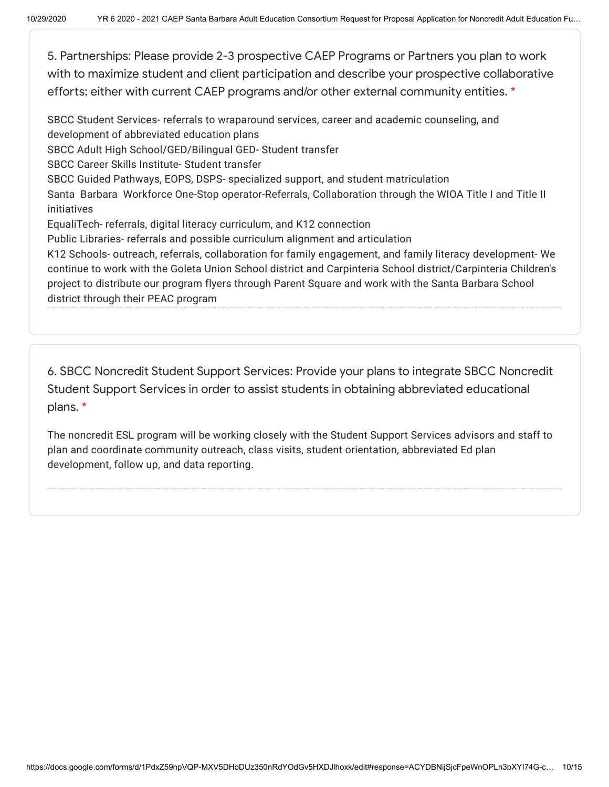5. Partnerships: Please provide 2-3 prospective CAEP Programs or Partners you plan to work with to maximize student and client participation and describe your prospective collaborative efforts; either with current CAEP programs and/or other external community entities. \*

SBCC Student Services- referrals to wraparound services, career and academic counseling, and development of abbreviated education plans

SBCC Adult High School/GED/Bilingual GED- Student transfer

SBCC Career Skills Institute- Student transfer

SBCC Guided Pathways, EOPS, DSPS- specialized support, and student matriculation

Santa Barbara Workforce One-Stop operator-Referrals, Collaboration through the WIOA Title I and Title II initiatives

EqualiTech- referrals, digital literacy curriculum, and K12 connection

Public Libraries- referrals and possible curriculum alignment and articulation

K12 Schools- outreach, referrals, collaboration for family engagement, and family literacy development- We continue to work with the Goleta Union School district and Carpinteria School district/Carpinteria Children's project to distribute our program flyers through Parent Square and work with the Santa Barbara School district through their PEAC program

6. SBCC Noncredit Student Support Services: Provide your plans to integrate SBCC Noncredit Student Support Services in order to assist students in obtaining abbreviated educational plans. \*

The noncredit ESL program will be working closely with the Student Support Services advisors and staff to plan and coordinate community outreach, class visits, student orientation, abbreviated Ed plan development, follow up, and data reporting.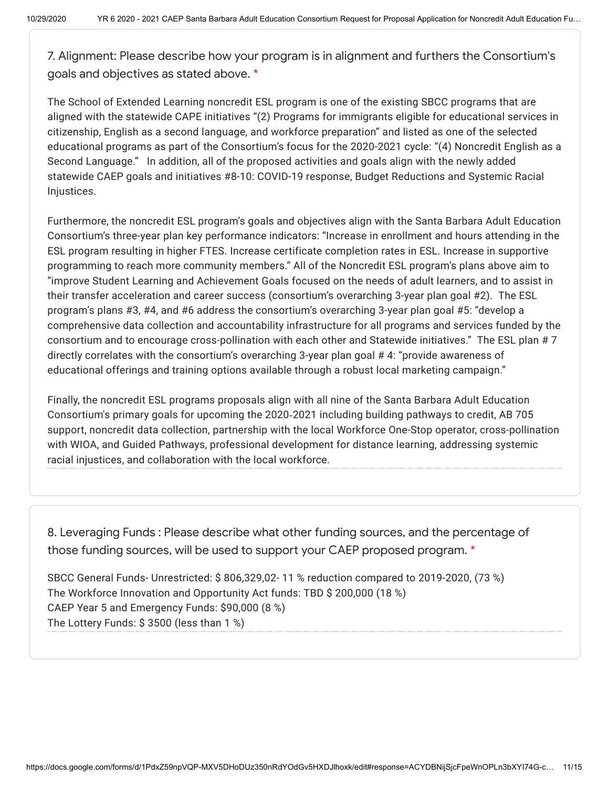7. Alignment: Please describe how your program is in alignment and furthers the Consortium's goals and objectives as stated above. \*

The School of Extended Learning noncredit ESL program is one of the existing SBCC programs that are aligned with the statewide CAPE initiatives "(2) Programs for immigrants eligible for educational services in citizenship, English as a second language, and workforce preparation" and listed as one of the selected educational programs as part of the Consortium's focus for the 2020-2021 cycle: "(4) Noncredit English as a Second Language." In addition, all of the proposed activities and goals align with the newly added statewide CAEP goals and initiatives #8-10: COVID-19 response, Budget Reductions and Systemic Racial Injustices.

Furthermore, the noncredit ESL program's goals and objectives align with the Santa Barbara Adult Education Consortium's three-year plan key performance indicators: "Increase in enrollment and hours attending in the ESL program resulting in higher FTES. Increase certificate completion rates in ESL. Increase in supportive programming to reach more community members." All of the Noncredit ESL program's plans above aim to "improve Student Learning and Achievement Goals focused on the needs of adult learners, and to assist in their transfer acceleration and career success (consortium's overarching 3-year plan goal #2). The ESL program's plans #3, #4, and #6 address the consortium's overarching 3-year plan goal #5: "develop a comprehensive data collection and accountability infrastructure for all programs and services funded by the consortium and to encourage cross-pollination with each other and Statewide initiatives." The ESL plan # 7 directly correlates with the consortium's overarching 3-year plan goal # 4: "provide awareness of educational offerings and training options available through a robust local marketing campaign."

Finally, the noncredit ESL programs proposals align with all nine of the Santa Barbara Adult Education Consortium's primary goals for upcoming the 2020‐2021 including building pathways to credit, AB 705 support, noncredit data collection, partnership with the local Workforce One-Stop operator, cross-pollination with WIOA, and Guided Pathways, professional development for distance learning, addressing systemic racial injustices, and collaboration with the local workforce.

8. Leveraging Funds : Please describe what other funding sources, and the percentage of those funding sources, will be used to support your CAEP proposed program. \*

SBCC General Funds- Unrestricted: \$ 806,329,02- 11 % reduction compared to 2019-2020, (73 %) The Workforce Innovation and Opportunity Act funds: TBD \$ 200,000 (18 %) CAEP Year 5 and Emergency Funds: \$90,000 (8 %) The Lottery Funds: \$ 3500 (less than 1 %)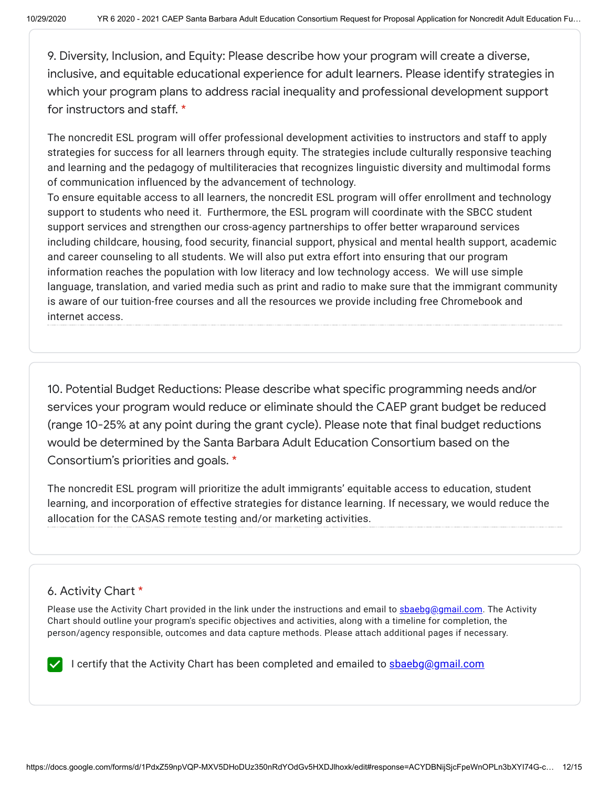9. Diversity, Inclusion, and Equity: Please describe how your program will create a diverse, inclusive, and equitable educational experience for adult learners. Please identify strategies in which your program plans to address racial inequality and professional development support for instructors and staff. \*

The noncredit ESL program will offer professional development activities to instructors and staff to apply strategies for success for all learners through equity. The strategies include culturally responsive teaching and learning and the pedagogy of multiliteracies that recognizes linguistic diversity and multimodal forms of communication influenced by the advancement of technology.

To ensure equitable access to all learners, the noncredit ESL program will offer enrollment and technology support to students who need it. Furthermore, the ESL program will coordinate with the SBCC student support services and strengthen our cross-agency partnerships to offer better wraparound services including childcare, housing, food security, financial support, physical and mental health support, academic and career counseling to all students. We will also put extra effort into ensuring that our program information reaches the population with low literacy and low technology access. We will use simple language, translation, and varied media such as print and radio to make sure that the immigrant community is aware of our tuition-free courses and all the resources we provide including free Chromebook and internet access.

10. Potential Budget Reductions: Please describe what specific programming needs and/or services your program would reduce or eliminate should the CAEP grant budget be reduced (range 10-25% at any point during the grant cycle). Please note that final budget reductions would be determined by the Santa Barbara Adult Education Consortium based on the Consortium's priorities and goals. \*

The noncredit ESL program will prioritize the adult immigrants' equitable access to education, student learning, and incorporation of effective strategies for distance learning. If necessary, we would reduce the allocation for the CASAS remote testing and/or marketing activities.

# 6. Activity Chart \*

Please use the Activity Chart provided in the link under the instructions and email to [sbaebg@gmail.com.](mailto:sbaebg@gmail.com) The Activity Chart should outline your program's specific objectives and activities, along with a timeline for completion, the person/agency responsible, outcomes and data capture methods. Please attach additional pages if necessary.

I certify that the Activity Chart has been completed and emailed to **shaebg@gmail.com**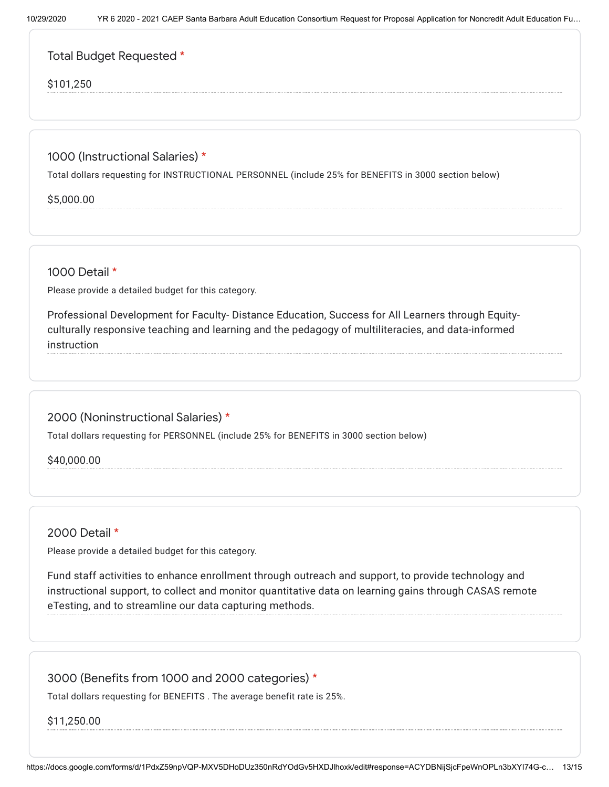## Total Budget Requested \*

#### \$101,250

### 1000 (Instructional Salaries) \*

Total dollars requesting for INSTRUCTIONAL PERSONNEL (include 25% for BENEFITS in 3000 section below)

\$5,000.00

1000 Detail \*

Please provide a detailed budget for this category.

Professional Development for Faculty- Distance Education, Success for All Learners through Equityculturally responsive teaching and learning and the pedagogy of multiliteracies, and data-informed instruction

### 2000 (Noninstructional Salaries) \*

Total dollars requesting for PERSONNEL (include 25% for BENEFITS in 3000 section below)

\$40,000.00

2000 Detail \*

Please provide a detailed budget for this category.

Fund staff activities to enhance enrollment through outreach and support, to provide technology and instructional support, to collect and monitor quantitative data on learning gains through CASAS remote eTesting, and to streamline our data capturing methods.

### 3000 (Benefits from 1000 and 2000 categories) \*

Total dollars requesting for BENEFITS . The average benefit rate is 25%.

\$11,250.00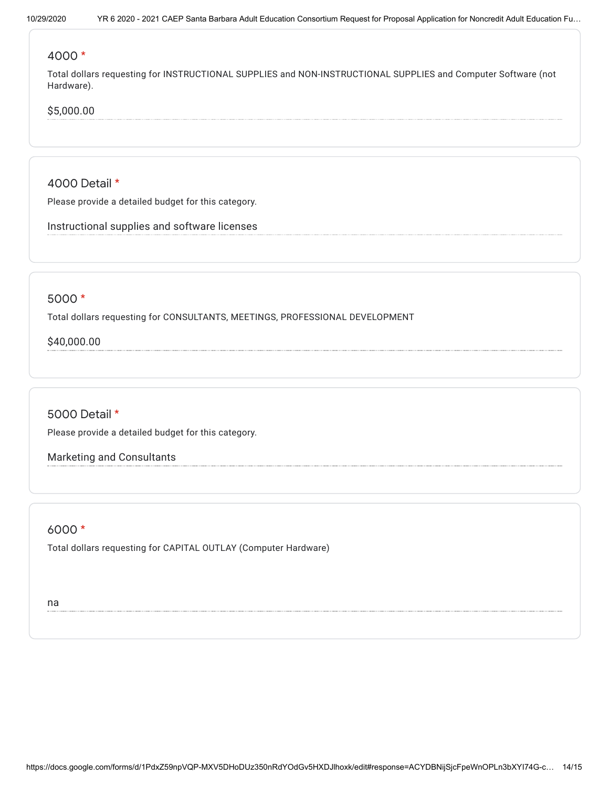#### 4000 \*

Total dollars requesting for INSTRUCTIONAL SUPPLIES and NON-INSTRUCTIONAL SUPPLIES and Computer Software (not Hardware).

### \$5,000.00

4000 Detail \*

Please provide a detailed budget for this category.

Instructional supplies and software licenses

#### 5000 \*

Total dollars requesting for CONSULTANTS, MEETINGS, PROFESSIONAL DEVELOPMENT

\$40,000.00

5000 Detail \* Please provide a detailed budget for this category.

Marketing and Consultants

#### 6000 \*

Total dollars requesting for CAPITAL OUTLAY (Computer Hardware)

na